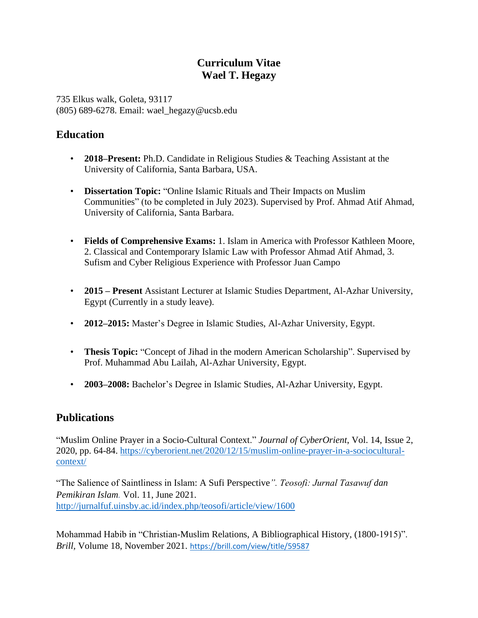# **Curriculum Vitae Wael T. Hegazy**

735 Elkus walk, Goleta, 93117 (805) 689-6278. Email: wael\_hegazy@ucsb.edu

# **Education**

- **2018–Present:** Ph.D. Candidate in Religious Studies & Teaching Assistant at the University of California, Santa Barbara, USA.
- **Dissertation Topic:** "Online Islamic Rituals and Their Impacts on Muslim Communities" (to be completed in July 2023). Supervised by Prof. Ahmad Atif Ahmad, University of California, Santa Barbara.
- **Fields of Comprehensive Exams:** 1. Islam in America with Professor Kathleen Moore, 2. Classical and Contemporary Islamic Law with Professor Ahmad Atif Ahmad, 3. Sufism and Cyber Religious Experience with Professor Juan Campo
- **2015 – Present** Assistant Lecturer at Islamic Studies Department, Al-Azhar University, Egypt (Currently in a study leave).
- **2012–2015:** Master's Degree in Islamic Studies, Al-Azhar University, Egypt.
- **Thesis Topic:** "Concept of Jihad in the modern American Scholarship". Supervised by Prof. Muhammad Abu Lailah, Al-Azhar University, Egypt.
- **2003–2008:** Bachelor's Degree in Islamic Studies, Al-Azhar University, Egypt.

# **Publications**

"Muslim Online Prayer in a Socio-Cultural Context." *Journal of CyberOrient*, Vol. 14, Issue 2, 2020, pp. 64-84. [https://cyberorient.net/2020/12/15/muslim-online-prayer-in-a-sociocultural](https://cyberorient.net/2020/12/15/muslim-online-prayer-in-a-sociocultural-context/)[context/](https://cyberorient.net/2020/12/15/muslim-online-prayer-in-a-sociocultural-context/)

"The Salience of Saintliness in Islam: A Sufi Perspective*". Teosofi: Jurnal Tasawuf dan Pemikiran Islam.* Vol. 11, June 2021. <http://jurnalfuf.uinsby.ac.id/index.php/teosofi/article/view/1600>

Mohammad Habib in "Christian-Muslim Relations, A Bibliographical History, (1800-1915)". *Brill,* Volume 18, November 2021. <https://brill.com/view/title/59587>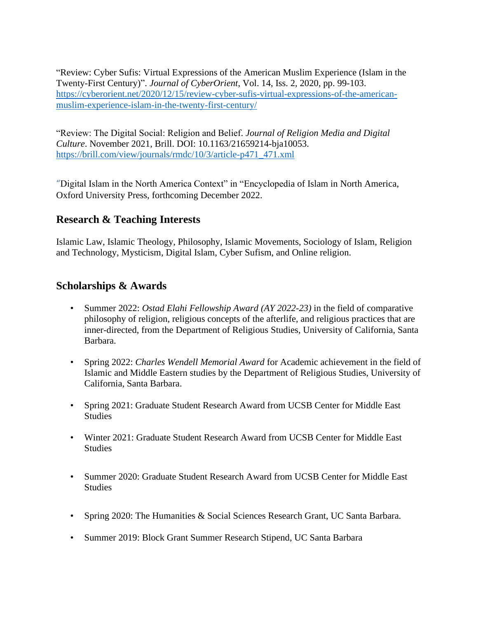"Review: Cyber Sufis: Virtual Expressions of the American Muslim Experience (Islam in the Twenty-First Century)". *Journal of CyberOrient*, Vol. 14, Iss. 2, 2020, pp. 99-103. [https://cyberorient.net/2020/12/15/review-cyber-sufis-virtual-expressions-of-the-american](https://cyberorient.net/2020/12/15/review-cyber-sufis-virtual-expressions-of-the-american-muslim-experience-islam-in-the-twenty-first-century/)[muslim-experience-islam-in-the-twenty-first-century/](https://cyberorient.net/2020/12/15/review-cyber-sufis-virtual-expressions-of-the-american-muslim-experience-islam-in-the-twenty-first-century/)

"Review: The Digital Social: Religion and Belief. *Journal of Religion Media and Digital Culture*. November 2021, Brill. DOI: 10.1163/21659214-bja10053. [https://brill.com/view/journals/rmdc/10/3/article-p471\\_471.xml](https://brill.com/view/journals/rmdc/10/3/article-p471_471.xml)

"Digital Islam in the North America Context" in "Encyclopedia of Islam in North America, Oxford University Press, forthcoming December 2022.

## **Research & Teaching Interests**

Islamic Law, Islamic Theology, Philosophy, Islamic Movements, Sociology of Islam, Religion and Technology, Mysticism, Digital Islam, Cyber Sufism, and Online religion.

## **Scholarships & Awards**

- Summer 2022: *Ostad Elahi Fellowship Award (AY 2022-23)* in the field of comparative philosophy of religion, religious concepts of the afterlife, and religious practices that are inner-directed, from the Department of Religious Studies, University of California, Santa Barbara.
- Spring 2022: *Charles Wendell Memorial Award* for Academic achievement in the field of Islamic and Middle Eastern studies by the Department of Religious Studies, University of California, Santa Barbara.
- Spring 2021: Graduate Student Research Award from UCSB Center for Middle East Studies
- Winter 2021: Graduate Student Research Award from UCSB Center for Middle East Studies
- Summer 2020: Graduate Student Research Award from UCSB Center for Middle East Studies
- Spring 2020: The Humanities & Social Sciences Research Grant, UC Santa Barbara.
- Summer 2019: Block Grant Summer Research Stipend, UC Santa Barbara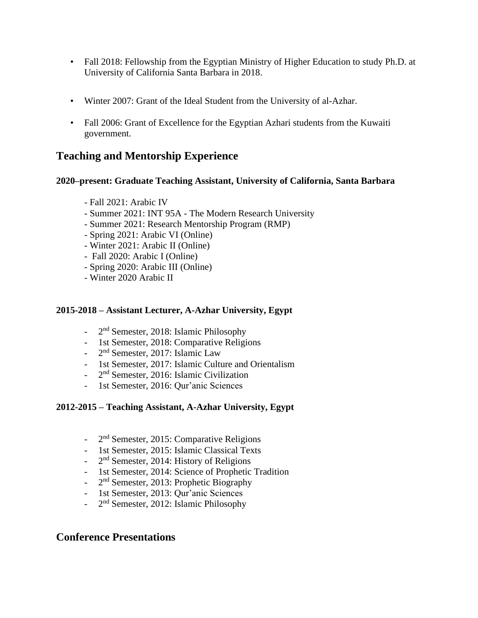- Fall 2018: Fellowship from the Egyptian Ministry of Higher Education to study Ph.D. at University of California Santa Barbara in 2018.
- Winter 2007: Grant of the Ideal Student from the University of al-Azhar.
- Fall 2006: Grant of Excellence for the Egyptian Azhari students from the Kuwaiti government.

# **Teaching and Mentorship Experience**

#### **2020–present: Graduate Teaching Assistant, University of California, Santa Barbara**

- Fall 2021: Arabic IV
- Summer 2021: INT 95A [The Modern Research University](https://gauchospace.ucsb.edu/courses/course/view.php?id=128122#section-0)
- Summer 2021: Research Mentorship Program (RMP)
- Spring 2021: Arabic VI (Online)
- Winter 2021: Arabic II (Online)
- Fall 2020: Arabic I (Online)
- Spring 2020: Arabic III (Online)
- Winter 2020 Arabic II

#### **2015-2018 – Assistant Lecturer, A-Azhar University, Egypt**

- 2<sup>nd</sup> Semester, 2018: Islamic Philosophy
- 1st Semester, 2018: Comparative Religions
- 2<sup>nd</sup> Semester, 2017: Islamic Law
- 1st Semester, 2017: Islamic Culture and Orientalism
- 2<sup>nd</sup> Semester, 2016: Islamic Civilization
- 1st Semester, 2016: Qur'anic Sciences

#### **2012-2015 – Teaching Assistant, A-Azhar University, Egypt**

- 2<sup>nd</sup> Semester, 2015: Comparative Religions
- 1st Semester, 2015: Islamic Classical Texts
- 2<sup>nd</sup> Semester, 2014: History of Religions
- 1st Semester, 2014: Science of Prophetic Tradition
- 2<sup>nd</sup> Semester, 2013: Prophetic Biography
- 1st Semester, 2013: Qur'anic Sciences
- 2<sup>nd</sup> Semester, 2012: Islamic Philosophy

## **Conference Presentations**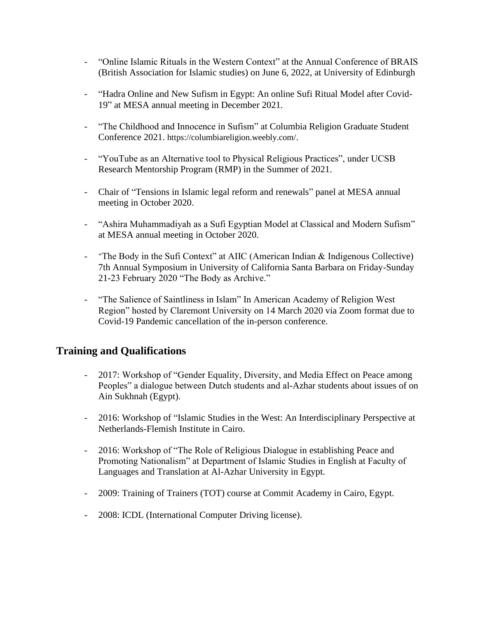- "Online Islamic Rituals in the Western Context" at the Annual Conference of BRAIS (British Association for Islamic studies) on June 6, 2022, at University of Edinburgh
- "Hadra Online and New Sufism in Egypt: An online Sufi Ritual Model after Covid-19" at MESA annual meeting in December 2021.
- "The Childhood and Innocence in Sufism" at Columbia Religion Graduate Student Conference 2021. https://columbiareligion.weebly.com/.
- "YouTube as an Alternative tool to Physical Religious Practices", under UCSB Research Mentorship Program (RMP) in the Summer of 2021.
- Chair of "Tensions in Islamic legal reform and renewals" panel at MESA annual meeting in October 2020.
- "Ashira Muhammadiyah as a Sufi Egyptian Model at Classical and Modern Sufism" at MESA annual meeting in October 2020.
- "The Body in the Sufi Context" at AIIC (American Indian & Indigenous Collective) 7th Annual Symposium in University of California Santa Barbara on Friday-Sunday 21-23 February 2020 "The Body as Archive."
- "The Salience of Saintliness in Islam" In American Academy of Religion West Region" hosted by Claremont University on 14 March 2020 via Zoom format due to Covid-19 Pandemic cancellation of the in-person conference.

# **Training and Qualifications**

- 2017: Workshop of "Gender Equality, Diversity, and Media Effect on Peace among Peoples" a dialogue between Dutch students and al-Azhar students about issues of on Ain Sukhnah (Egypt).
- 2016: Workshop of "Islamic Studies in the West: An Interdisciplinary Perspective at Netherlands-Flemish Institute in Cairo.
- 2016: Workshop of "The Role of Religious Dialogue in establishing Peace and Promoting Nationalism" at Department of Islamic Studies in English at Faculty of Languages and Translation at Al-Azhar University in Egypt.
- 2009: Training of Trainers (TOT) course at Commit Academy in Cairo, Egypt.
- 2008: ICDL (International Computer Driving license).